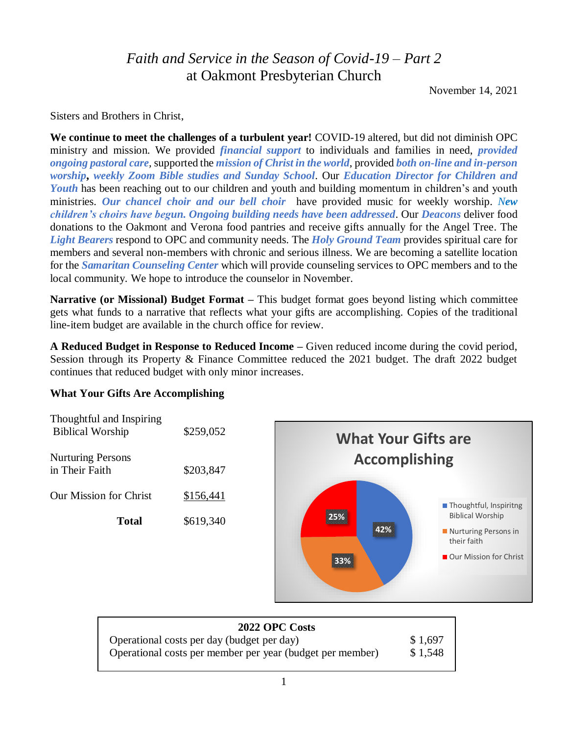# *Faith and Service in the Season of Covid-19 – Part 2* at Oakmont Presbyterian Church

November 14, 2021

Sisters and Brothers in Christ,

**We continue to meet the challenges of a turbulent year!** COVID-19 altered, but did not diminish OPC ministry and mission. We provided *financial support* to individuals and families in need, *provided ongoing pastoral care,* supported the *mission of Christ in the world*, provided *both on-line and in-person worship***,** *weekly Zoom Bible studies and Sunday School*. Our *Education Director for Children and Youth* has been reaching out to our children and youth and building momentum in children's and youth ministries. *Our chancel choir and our bell choir* have provided music for weekly worship. *New children's choirs have begun. Ongoing building needs have been addressed*. Our *Deacons* deliver food donations to the Oakmont and Verona food pantries and receive gifts annually for the Angel Tree. The *Light Bearers* respond to OPC and community needs. The *Holy Ground Team* provides spiritual care for members and several non-members with chronic and serious illness. We are becoming a satellite location for the *Samaritan Counseling Center* which will provide counseling services to OPC members and to the local community. We hope to introduce the counselor in November.

**Narrative (or Missional) Budget Format –** This budget format goes beyond listing which committee gets what funds to a narrative that reflects what your gifts are accomplishing. Copies of the traditional line-item budget are available in the church office for review.

**A Reduced Budget in Response to Reduced Income –** Given reduced income during the covid period, Session through its Property & Finance Committee reduced the 2021 budget. The draft 2022 budget continues that reduced budget with only minor increases.

#### **What Your Gifts Are Accomplishing**



| <b>2022 OPC Costs</b>                                     |         |
|-----------------------------------------------------------|---------|
| Operational costs per day (budget per day)                | \$1,697 |
| Operational costs per member per year (budget per member) | \$1,548 |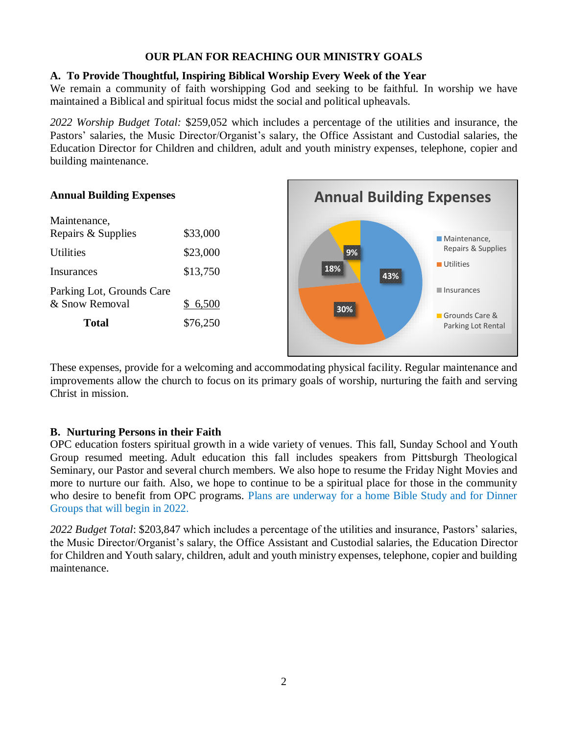# **OUR PLAN FOR REACHING OUR MINISTRY GOALS**

# **A. To Provide Thoughtful, Inspiring Biblical Worship Every Week of the Year**

We remain a community of faith worshipping God and seeking to be faithful. In worship we have maintained a Biblical and spiritual focus midst the social and political upheavals.

*2022 Worship Budget Total:* \$259,052 which includes a percentage of the utilities and insurance, the Pastors' salaries, the Music Director/Organist's salary, the Office Assistant and Custodial salaries, the Education Director for Children and children, adult and youth ministry expenses, telephone, copier and building maintenance.



These expenses, provide for a welcoming and accommodating physical facility. Regular maintenance and improvements allow the church to focus on its primary goals of worship, nurturing the faith and serving Christ in mission.

## **B. Nurturing Persons in their Faith**

OPC education fosters spiritual growth in a wide variety of venues. This fall, Sunday School and Youth Group resumed meeting. Adult education this fall includes speakers from Pittsburgh Theological Seminary, our Pastor and several church members. We also hope to resume the Friday Night Movies and more to nurture our faith. Also, we hope to continue to be a spiritual place for those in the community who desire to benefit from OPC programs. Plans are underway for a home Bible Study and for Dinner Groups that will begin in 2022.

*2022 Budget Total*: \$203,847 which includes a percentage of the utilities and insurance, Pastors' salaries, the Music Director/Organist's salary, the Office Assistant and Custodial salaries, the Education Director for Children and Youth salary, children, adult and youth ministry expenses, telephone, copier and building maintenance.